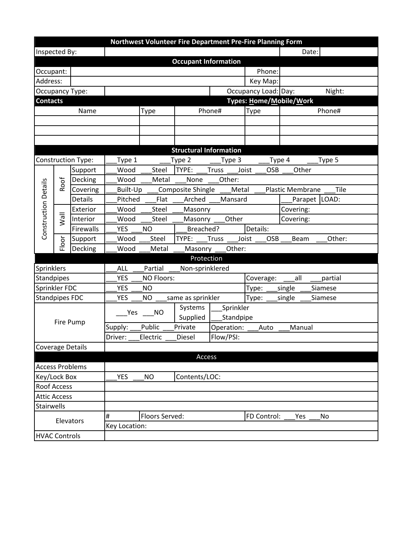|                         |                      |                     |                                          |                                          |                          | Northwest Volunteer Fire Department Pre-Fire Planning Form |                             |                         |               |  |  |
|-------------------------|----------------------|---------------------|------------------------------------------|------------------------------------------|--------------------------|------------------------------------------------------------|-----------------------------|-------------------------|---------------|--|--|
| Inspected By:           |                      |                     |                                          |                                          |                          |                                                            |                             | Date:                   |               |  |  |
|                         |                      |                     |                                          | <b>Occupant Information</b>              |                          |                                                            |                             |                         |               |  |  |
| Occupant:               |                      |                     | Phone:                                   |                                          |                          |                                                            |                             |                         |               |  |  |
| Address:                |                      |                     | Key Map:                                 |                                          |                          |                                                            |                             |                         |               |  |  |
| <b>Occupancy Type:</b>  |                      |                     | Occupancy Load: Day:                     |                                          |                          |                                                            |                             |                         | Night:        |  |  |
| <b>Contacts</b>         |                      |                     |                                          |                                          | Types: Home/Mobile/Work  |                                                            |                             |                         |               |  |  |
| Name                    |                      |                     | Type                                     |                                          | Phone#                   |                                                            | Type                        |                         | Phone#        |  |  |
|                         |                      |                     |                                          |                                          |                          |                                                            |                             |                         |               |  |  |
|                         |                      |                     |                                          |                                          |                          |                                                            |                             |                         |               |  |  |
|                         |                      |                     |                                          |                                          |                          |                                                            |                             |                         |               |  |  |
|                         |                      |                     |                                          | <b>Structural Information</b>            |                          |                                                            |                             |                         |               |  |  |
| Construction Type:      |                      |                     | Type 1                                   |                                          | Type 2                   | Type 3                                                     |                             | Type 4                  | Type 5        |  |  |
|                         | Roof                 | Support             | Wood                                     | Steel                                    | TYPE:                    | <b>Truss</b><br>Joist                                      | OSB                         | Other                   |               |  |  |
|                         |                      | Decking             | Wood                                     | Metal                                    | None                     | Other:                                                     |                             |                         |               |  |  |
| Construction Details    |                      | Covering            | Built-Up                                 |                                          | Composite Shingle        | Metal                                                      |                             | <b>Plastic Membrane</b> | Tile          |  |  |
|                         |                      | <b>Details</b>      | Pitched                                  | Flat                                     | Arched                   | Mansard                                                    |                             |                         | Parapet LOAD: |  |  |
|                         | <b>IIEW</b><br>Floor | Exterior            | Wood                                     | <b>Steel</b>                             | Masonry                  |                                                            |                             | Covering:               |               |  |  |
|                         |                      | Interior            | Wood                                     | Steel                                    | Masonry                  | Other                                                      |                             | Covering:               |               |  |  |
|                         |                      | Firewalls           | <b>YES</b>                               | <b>NO</b>                                | Details:<br>Breached?    |                                                            |                             |                         |               |  |  |
|                         |                      | Support             | Wood                                     | Steel                                    | TYPE:                    | <b>Truss</b>                                               | Joist<br><b>OSB</b>         | Beam                    | Other:        |  |  |
|                         |                      | Decking             | Wood                                     | Metal                                    | Other:<br>Masonry        |                                                            |                             |                         |               |  |  |
|                         |                      |                     | Protection                               |                                          |                          |                                                            |                             |                         |               |  |  |
| Sprinklers              |                      |                     | Partial<br><b>ALL</b><br>Non-sprinklered |                                          |                          |                                                            |                             |                         |               |  |  |
| Standpipes              |                      |                     | YES<br>NO Floors:                        |                                          |                          |                                                            | Coverage:<br>all<br>partial |                         |               |  |  |
| Sprinkler FDC           |                      |                     |                                          | <b>YES</b><br><b>NO</b>                  |                          |                                                            | Type:<br>single<br>Siamese  |                         |               |  |  |
| <b>Standpipes FDC</b>   |                      |                     |                                          | <b>YES</b><br>NO<br>same as sprinkler    |                          |                                                            | Type:<br>Siamese<br>single  |                         |               |  |  |
| Fire Pump               |                      |                     | Yes                                      | <b>NO</b>                                | Systems                  |                                                            | Sprinkler                   |                         |               |  |  |
|                         |                      |                     |                                          |                                          | Supplied                 | Standpipe                                                  |                             |                         |               |  |  |
|                         |                      |                     | Supply:                                  | Public                                   | Private                  | Operation:<br>Auto<br>Manual                               |                             |                         |               |  |  |
|                         |                      |                     | Driver:                                  | Electric                                 | Diesel                   | Flow/PSI:                                                  |                             |                         |               |  |  |
| <b>Coverage Details</b> |                      |                     |                                          |                                          |                          |                                                            |                             |                         |               |  |  |
|                         |                      |                     | Access                                   |                                          |                          |                                                            |                             |                         |               |  |  |
| <b>Access Problems</b>  |                      |                     |                                          |                                          |                          |                                                            |                             |                         |               |  |  |
| Key/Lock Box            |                      |                     |                                          | Contents/LOC:<br><b>YES</b><br><b>NO</b> |                          |                                                            |                             |                         |               |  |  |
| <b>Roof Access</b>      |                      |                     |                                          |                                          |                          |                                                            |                             |                         |               |  |  |
| <b>Attic Access</b>     |                      |                     |                                          |                                          |                          |                                                            |                             |                         |               |  |  |
| Stairwells              |                      |                     |                                          |                                          |                          |                                                            |                             |                         |               |  |  |
| Elevators               |                      | #<br>Floors Served: |                                          |                                          | FD Control:<br>Yes<br>No |                                                            |                             |                         |               |  |  |
|                         |                      |                     | Key Location:                            |                                          |                          |                                                            |                             |                         |               |  |  |
| <b>HVAC Controls</b>    |                      |                     |                                          |                                          |                          |                                                            |                             |                         |               |  |  |